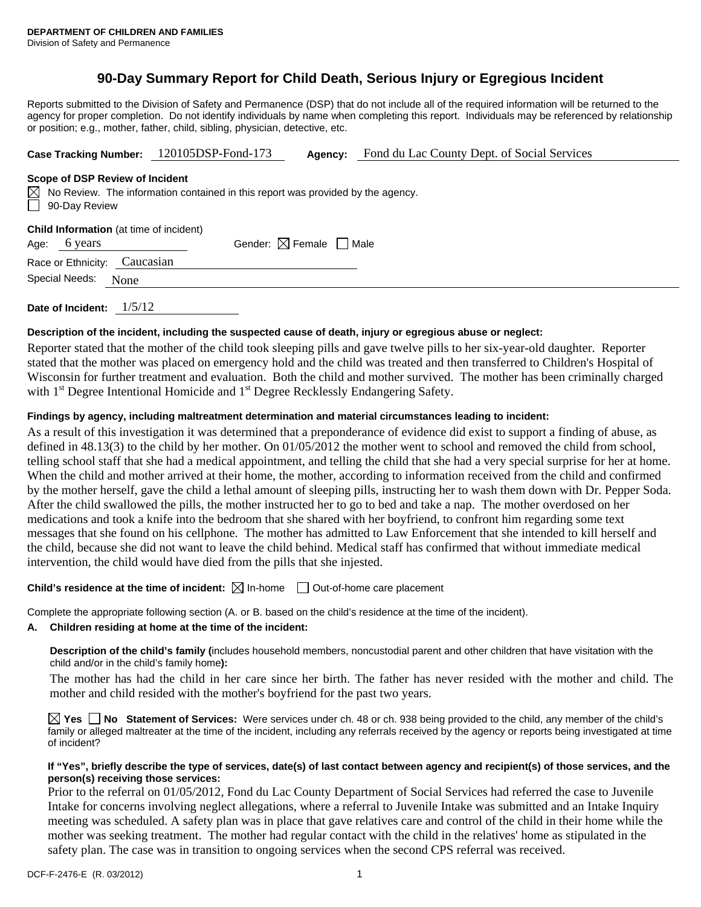## **90-Day Summary Report for Child Death, Serious Injury or Egregious Incident**

Reports submitted to the Division of Safety and Permanence (DSP) that do not include all of the required information will be returned to the agency for proper completion. Do not identify individuals by name when completing this report. Individuals may be referenced by relationship or position; e.g., mother, father, child, sibling, physician, detective, etc.

|  | Case Tracking Number: 120105DSP-Fond-173 | Aqency: | Fond du Lac County Dept. of Social Services |
|--|------------------------------------------|---------|---------------------------------------------|
|--|------------------------------------------|---------|---------------------------------------------|

#### **Scope of DSP Review of Incident**

|               | $\boxtimes$ No Review. The information contained in this report was provided by the agency. |
|---------------|---------------------------------------------------------------------------------------------|
| 90-Day Review |                                                                                             |

| Age: 6 years |  |  | Gender: $\boxtimes$ Female $\Box$ Male |  |  |
|--------------|--|--|----------------------------------------|--|--|
|              |  |  |                                        |  |  |

Race or Ethnicity: Caucasian Special Needs: None

**Date of Incident:** 1/5/12

#### **Description of the incident, including the suspected cause of death, injury or egregious abuse or neglect:**

Reporter stated that the mother of the child took sleeping pills and gave twelve pills to her six-year-old daughter. Reporter stated that the mother was placed on emergency hold and the child was treated and then transferred to Children's Hospital of Wisconsin for further treatment and evaluation. Both the child and mother survived. The mother has been criminally charged with 1<sup>st</sup> Degree Intentional Homicide and 1<sup>st</sup> Degree Recklessly Endangering Safety.

#### **Findings by agency, including maltreatment determination and material circumstances leading to incident:**

As a result of this investigation it was determined that a preponderance of evidence did exist to support a finding of abuse, as defined in 48.13(3) to the child by her mother. On 01/05/2012 the mother went to school and removed the child from school, telling school staff that she had a medical appointment, and telling the child that she had a very special surprise for her at home. When the child and mother arrived at their home, the mother, according to information received from the child and confirmed by the mother herself, gave the child a lethal amount of sleeping pills, instructing her to wash them down with Dr. Pepper Soda. After the child swallowed the pills, the mother instructed her to go to bed and take a nap. The mother overdosed on her medications and took a knife into the bedroom that she shared with her boyfriend, to confront him regarding some text messages that she found on his cellphone. The mother has admitted to Law Enforcement that she intended to kill herself and the child, because she did not want to leave the child behind. Medical staff has confirmed that without immediate medical intervention, the child would have died from the pills that she injested.

### **Child's residence at the time of incident:**  $\boxtimes$  In-home  $\Box$  Out-of-home care placement

Complete the appropriate following section (A. or B. based on the child's residence at the time of the incident).

#### **A. Children residing at home at the time of the incident:**

**Description of the child's family (**includes household members, noncustodial parent and other children that have visitation with the child and/or in the child's family home**):** 

The mother has had the child in her care since her birth. The father has never resided with the mother and child. The mother and child resided with the mother's boyfriend for the past two years.

**Yes No Statement of Services:** Were services under ch. 48 or ch. 938 being provided to the child, any member of the child's family or alleged maltreater at the time of the incident, including any referrals received by the agency or reports being investigated at time of incident?

#### **If "Yes", briefly describe the type of services, date(s) of last contact between agency and recipient(s) of those services, and the person(s) receiving those services:**

Prior to the referral on 01/05/2012, Fond du Lac County Department of Social Services had referred the case to Juvenile Intake for concerns involving neglect allegations, where a referral to Juvenile Intake was submitted and an Intake Inquiry meeting was scheduled. A safety plan was in place that gave relatives care and control of the child in their home while the mother was seeking treatment. The mother had regular contact with the child in the relatives' home as stipulated in the safety plan. The case was in transition to ongoing services when the second CPS referral was received.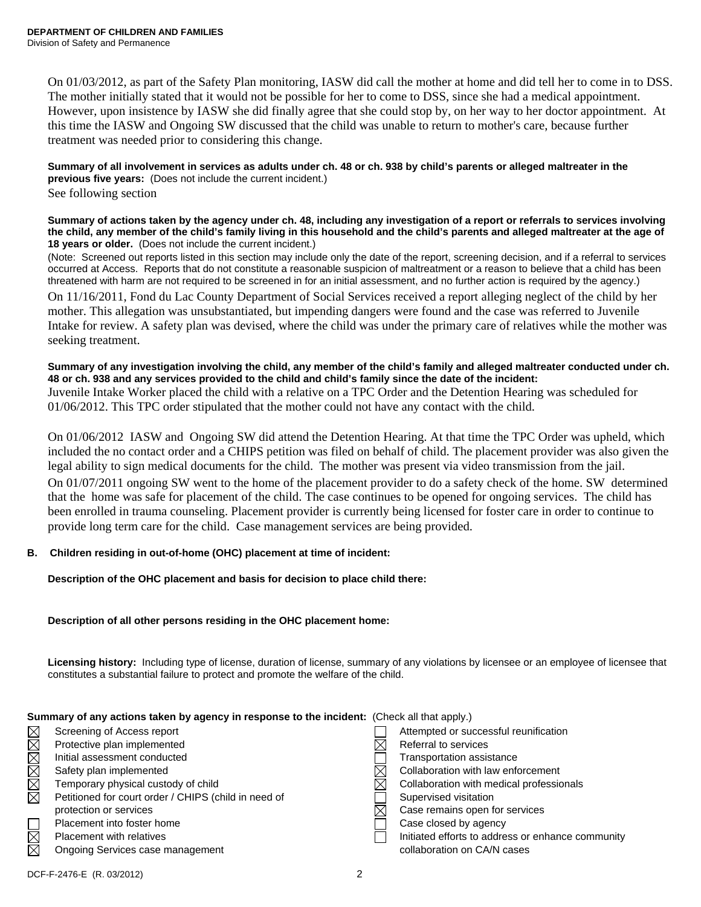On 01/03/2012, as part of the Safety Plan monitoring, IASW did call the mother at home and did tell her to come in to DSS. The mother initially stated that it would not be possible for her to come to DSS, since she had a medical appointment. However, upon insistence by IASW she did finally agree that she could stop by, on her way to her doctor appointment. At this time the IASW and Ongoing SW discussed that the child was unable to return to mother's care, because further treatment was needed prior to considering this change.

**Summary of all involvement in services as adults under ch. 48 or ch. 938 by child's parents or alleged maltreater in the previous five years:** (Does not include the current incident.) See following section

**Summary of actions taken by the agency under ch. 48, including any investigation of a report or referrals to services involving the child, any member of the child's family living in this household and the child's parents and alleged maltreater at the age of 18 years or older.** (Does not include the current incident.)

(Note: Screened out reports listed in this section may include only the date of the report, screening decision, and if a referral to services occurred at Access. Reports that do not constitute a reasonable suspicion of maltreatment or a reason to believe that a child has been threatened with harm are not required to be screened in for an initial assessment, and no further action is required by the agency.)

On 11/16/2011, Fond du Lac County Department of Social Services received a report alleging neglect of the child by her mother. This allegation was unsubstantiated, but impending dangers were found and the case was referred to Juvenile Intake for review. A safety plan was devised, where the child was under the primary care of relatives while the mother was seeking treatment.

**Summary of any investigation involving the child, any member of the child's family and alleged maltreater conducted under ch. 48 or ch. 938 and any services provided to the child and child's family since the date of the incident:**  Juvenile Intake Worker placed the child with a relative on a TPC Order and the Detention Hearing was scheduled for 01/06/2012. This TPC order stipulated that the mother could not have any contact with the child.

On 01/06/2012 IASW and Ongoing SW did attend the Detention Hearing. At that time the TPC Order was upheld, which included the no contact order and a CHIPS petition was filed on behalf of child. The placement provider was also given the legal ability to sign medical documents for the child. The mother was present via video transmission from the jail. On 01/07/2011 ongoing SW went to the home of the placement provider to do a safety check of the home. SW determined that the home was safe for placement of the child. The case continues to be opened for ongoing services. The child has been enrolled in trauma counseling. Placement provider is currently being licensed for foster care in order to continue to provide long term care for the child. Case management services are being provided.

## **B. Children residing in out-of-home (OHC) placement at time of incident:**

**Description of the OHC placement and basis for decision to place child there:** 

## **Description of all other persons residing in the OHC placement home:**

**Licensing history:** Including type of license, duration of license, summary of any violations by licensee or an employee of licensee that constitutes a substantial failure to protect and promote the welfare of the child.

| <b>Udinmary or any authors taken by agunuy in response to the indicative.</b> (Oncen all that apply.) |                                                      |  |                                                   |  |
|-------------------------------------------------------------------------------------------------------|------------------------------------------------------|--|---------------------------------------------------|--|
| $\boxtimes$                                                                                           | Screening of Access report                           |  | Attempted or successful reunification             |  |
| $\boxtimes$                                                                                           | Protective plan implemented                          |  | Referral to services                              |  |
| $\boxtimes$                                                                                           | Initial assessment conducted                         |  | Transportation assistance                         |  |
| $\boxtimes$                                                                                           | Safety plan implemented                              |  | Collaboration with law enforcement                |  |
| $\boxtimes$                                                                                           | Temporary physical custody of child                  |  | Collaboration with medical professionals          |  |
| $\boxtimes$                                                                                           | Petitioned for court order / CHIPS (child in need of |  | Supervised visitation                             |  |
|                                                                                                       | protection or services                               |  | Case remains open for services                    |  |
|                                                                                                       | Placement into foster home                           |  | Case closed by agency                             |  |
| $\boxtimes$                                                                                           | <b>Placement with relatives</b>                      |  | Initiated efforts to address or enhance community |  |
| $\boxtimes$                                                                                           | Ongoing Services case management                     |  | collaboration on CA/N cases                       |  |

#### **Summary of any actions taken by agency in response to the incident:** (Check all that apply.)